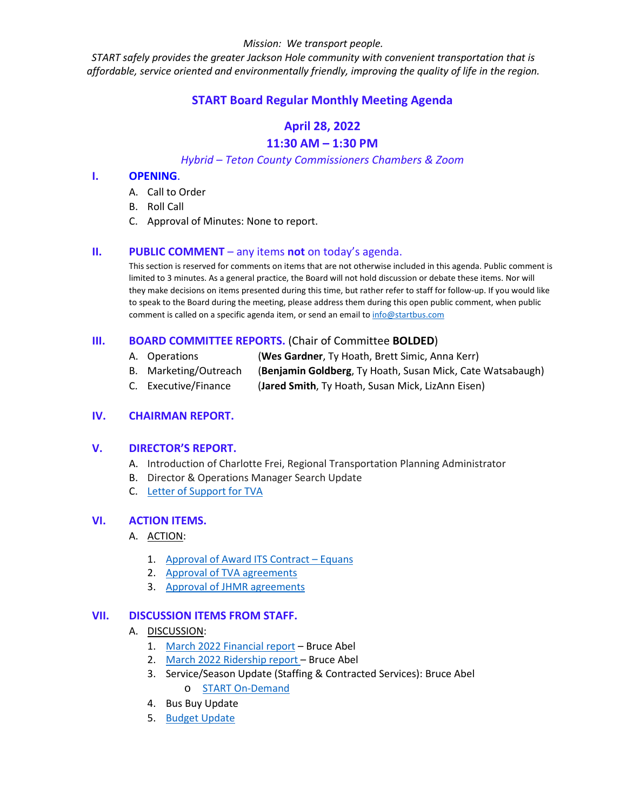*START safely provides the greater Jackson Hole community with convenient transportation that is affordable, service oriented and environmentally friendly, improving the quality of life in the region.*

# **START Board Regular Monthly Meeting Agenda**

# **April 28, 2022 11:30 AM – 1:30 PM**

# *Hybrid – Teton County Commissioners Chambers & Zoom*

#### **I. OPENING**.

- A. Call to Order
- B. Roll Call
- C. Approval of Minutes: None to report.

# **II. PUBLIC COMMENT** – any items **not** on today's agenda.

This section is reserved for comments on items that are not otherwise included in this agenda. Public comment is limited to 3 minutes. As a general practice, the Board will not hold discussion or debate these items. Nor will they make decisions on items presented during this time, but rather refer to staff for follow-up. If you would like to speak to the Board during the meeting, please address them during this open public comment, when public comment is called on a specific agenda item, or send an email to [info@startbus.com](mailto:info@startbus.com)

# **III. BOARD COMMITTEE REPORTS.** (Chair of Committee **BOLDED**)

- A. Operations (**Wes Gardner**, Ty Hoath, Brett Simic, Anna Kerr)
- B. Marketing/Outreach (**Benjamin Goldberg**, Ty Hoath, Susan Mick, Cate Watsabaugh)
- C. Executive/Finance (**Jared Smith**, Ty Hoath, Susan Mick, LizAnn Eisen)

# **IV. CHAIRMAN REPORT.**

#### **V. DIRECTOR'S REPORT.**

- A. Introduction of Charlotte Frei, Regional Transportation Planning Administrator
- B. Director & Operations Manager Search Update
- C. [Letter of Support for TVA](https://www.jacksonwy.gov/DocumentCenter/View/5885/LetterofSupportTVALoNoGrantApp)

# **VI. ACTION ITEMS.**

#### A. ACTION:

- 1. [Approval of Award ITS Contract –](https://www.jacksonwy.gov/DocumentCenter/View/5876/START--Board-report-for-ITS-EQUANS--april2022) Equans
- 2. [Approval of TVA agreements](https://www.jacksonwy.gov/DocumentCenter/View/5882/220422AgrmtTetonVillageRouteFundingTVA)
- 3. [Approval of JHMR agreements](https://www.jacksonwy.gov/DocumentCenter/View/5883/220422AgrmtTetonVillageRouteFundingJHMR)

#### **VII. DISCUSSION ITEMS FROM STAFF.**

#### A. DISCUSSION:

- 1. March [2022 Financial report](https://www.jacksonwy.gov/DocumentCenter/View/5864/March-Financial-Report_2022) Bruce Abel
- 2. [March 2022 Ridership report](https://www.jacksonwy.gov/DocumentCenter/View/5875/MarchRidership_final2022) Bruce Abel
- 3. Service/Season Update (Staffing & Contracted Services): Bruce Abel o [START On-Demand](https://www.jacksonwy.gov/DocumentCenter/View/5865/START-On-Demand-Reporting-March-2022)
- 4. Bus Buy Update
- 5. [Budget Update](https://www.jacksonwy.gov/DocumentCenter/View/5877/20220426-JIM-BrucePowerpoint_final)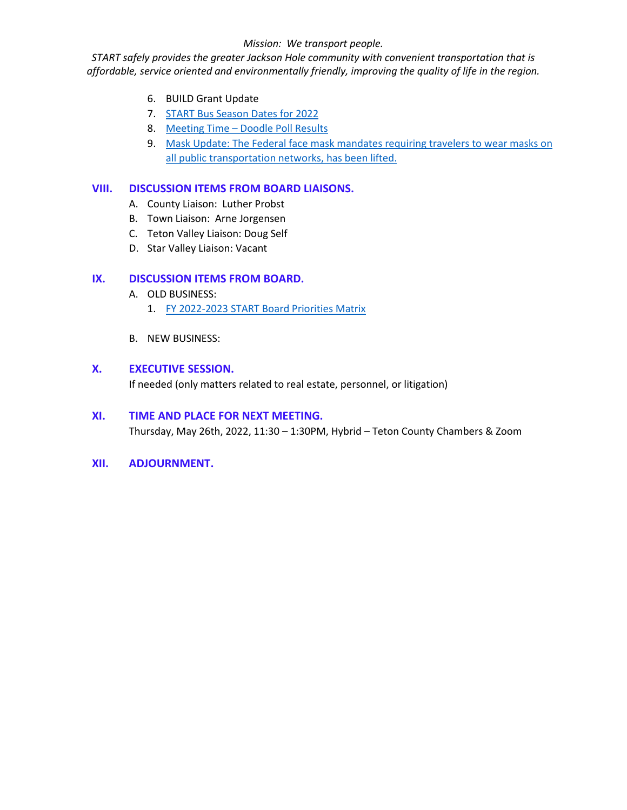*START safely provides the greater Jackson Hole community with convenient transportation that is affordable, service oriented and environmentally friendly, improving the quality of life in the region.*

- 6. BUILD Grant Update
- 7. [START Bus Season Dates for 2022](https://www.jacksonwy.gov/DocumentCenter/View/5869/START-Bus-Season-Dates-2022)
- 8. [Meeting Time –](https://www.jacksonwy.gov/DocumentCenter/View/5863/Board-Meeting-Time_Doodle-Poll-results) [Doodle Poll Results](https://www.jacksonwy.gov/DocumentCenter/View/5863/Board-Meeting-Time_Doodle-Poll-results)
- 9. [Mask Update: The Federal face mask mandates](https://www.jacksonwy.gov/DocumentCenter/View/5866/Mask-Mandate-Lifted_042022) requiring travelers to wear masks on [all public transportation networks, has been lifted.](https://www.jacksonwy.gov/DocumentCenter/View/5866/Mask-Mandate-Lifted_042022)

# **VIII. DISCUSSION ITEMS FROM BOARD LIAISONS.**

- A. County Liaison: Luther Probst
- B. Town Liaison: Arne Jorgensen
- C. Teton Valley Liaison: Doug Self
- D. Star Valley Liaison: Vacant

# **IX. DISCUSSION ITEMS FROM BOARD.**

- A. OLD BUSINESS:
	- 1. [FY 2022-2023 START Board Priorities Matrix](https://www.jacksonwy.gov/DocumentCenter/View/5668/START-Board-FY-2022-2023-Priorities-Matrix)
- B. NEW BUSINESS:

#### **X. EXECUTIVE SESSION.**

If needed (only matters related to real estate, personnel, or litigation)

#### **XI. TIME AND PLACE FOR NEXT MEETING.**

Thursday, May 26th, 2022, 11:30 – 1:30PM, Hybrid – Teton County Chambers & Zoom

**XII. ADJOURNMENT.**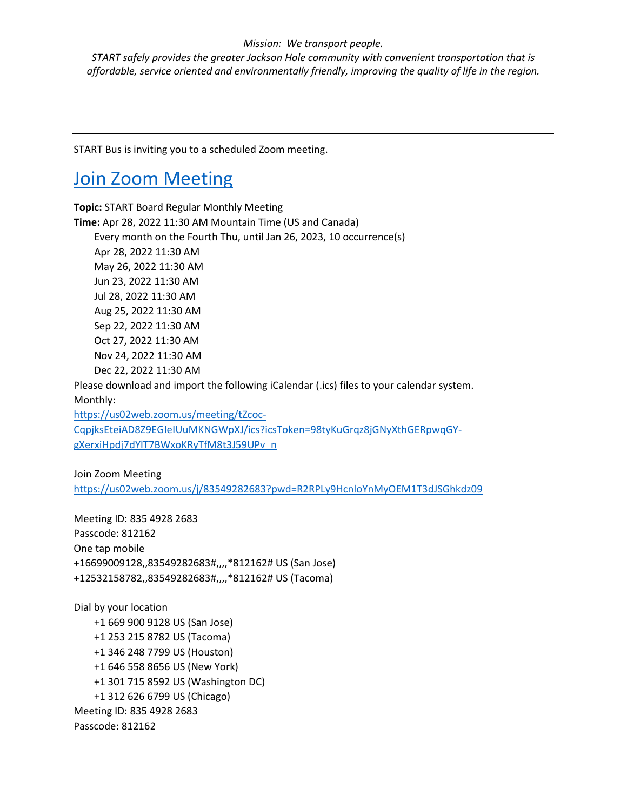*START safely provides the greater Jackson Hole community with convenient transportation that is affordable, service oriented and environmentally friendly, improving the quality of life in the region.*

START Bus is inviting you to a scheduled Zoom meeting.

# [Join Zoom Meeting](https://us02web.zoom.us/j/83549282683?pwd=R2RPLy9HcnloYnMyOEM1T3dJSGhkdz09)

**Topic:** START Board Regular Monthly Meeting **Time:** Apr 28, 2022 11:30 AM Mountain Time (US and Canada) Every month on the Fourth Thu, until Jan 26, 2023, 10 occurrence(s) Apr 28, 2022 11:30 AM May 26, 2022 11:30 AM Jun 23, 2022 11:30 AM Jul 28, 2022 11:30 AM Aug 25, 2022 11:30 AM Sep 22, 2022 11:30 AM Oct 27, 2022 11:30 AM Nov 24, 2022 11:30 AM Dec 22, 2022 11:30 AM Please download and import the following iCalendar (.ics) files to your calendar system. Monthly: [https://us02web.zoom.us/meeting/tZcoc-](https://us02web.zoom.us/meeting/tZcoc-CqpjksEteiAD8Z9EGIeIUuMKNGWpXJ/ics?icsToken=98tyKuGrqz8jGNyXthGERpwqGY-gXerxiHpdj7dYlT7BWxoKRyTfM8t3J59UPv_n)

[CqpjksEteiAD8Z9EGIeIUuMKNGWpXJ/ics?icsToken=98tyKuGrqz8jGNyXthGERpwqGY](https://us02web.zoom.us/meeting/tZcoc-CqpjksEteiAD8Z9EGIeIUuMKNGWpXJ/ics?icsToken=98tyKuGrqz8jGNyXthGERpwqGY-gXerxiHpdj7dYlT7BWxoKRyTfM8t3J59UPv_n)[gXerxiHpdj7dYlT7BWxoKRyTfM8t3J59UPv\\_n](https://us02web.zoom.us/meeting/tZcoc-CqpjksEteiAD8Z9EGIeIUuMKNGWpXJ/ics?icsToken=98tyKuGrqz8jGNyXthGERpwqGY-gXerxiHpdj7dYlT7BWxoKRyTfM8t3J59UPv_n)

Join Zoom Meeting <https://us02web.zoom.us/j/83549282683?pwd=R2RPLy9HcnloYnMyOEM1T3dJSGhkdz09>

Meeting ID: 835 4928 2683 Passcode: 812162 One tap mobile +16699009128,,83549282683#,,,,\*812162# US (San Jose) +12532158782,,83549282683#,,,,\*812162# US (Tacoma)

Dial by your location +1 669 900 9128 US (San Jose) +1 253 215 8782 US (Tacoma) +1 346 248 7799 US (Houston) +1 646 558 8656 US (New York) +1 301 715 8592 US (Washington DC) +1 312 626 6799 US (Chicago) Meeting ID: 835 4928 2683 Passcode: 812162